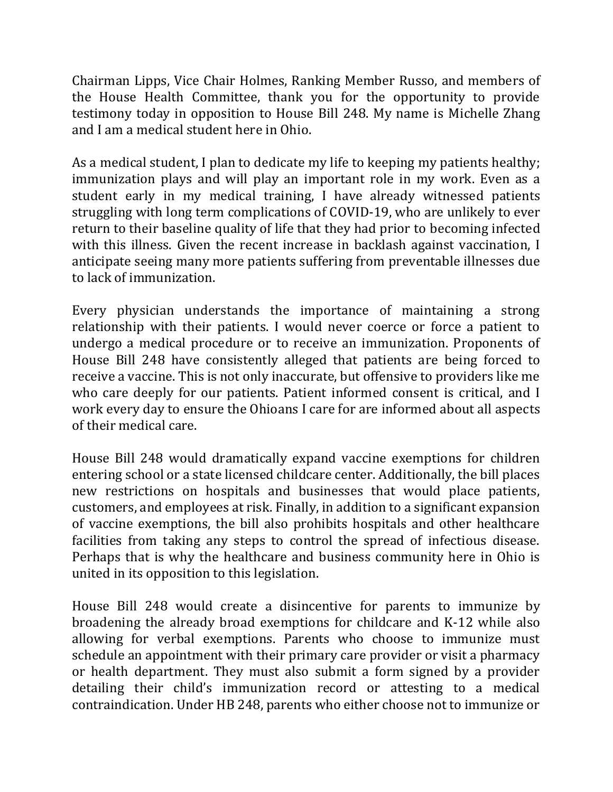Chairman Lipps, Vice Chair Holmes, Ranking Member Russo, and members of the House Health Committee, thank you for the opportunity to provide testimony today in opposition to House Bill 248. My name is Michelle Zhang and I am a medical student here in Ohio.

As a medical student, I plan to dedicate my life to keeping my patients healthy; immunization plays and will play an important role in my work. Even as a student early in my medical training, I have already witnessed patients struggling with long term complications of COVID-19, who are unlikely to ever return to their baseline quality of life that they had prior to becoming infected with this illness. Given the recent increase in backlash against vaccination, I anticipate seeing many more patients suffering from preventable illnesses due to lack of immunization.

Every physician understands the importance of maintaining a strong relationship with their patients. I would never coerce or force a patient to undergo a medical procedure or to receive an immunization. Proponents of House Bill 248 have consistently alleged that patients are being forced to receive a vaccine. This is not only inaccurate, but offensive to providers like me who care deeply for our patients. Patient informed consent is critical, and I work every day to ensure the Ohioans I care for are informed about all aspects of their medical care.

House Bill 248 would dramatically expand vaccine exemptions for children entering school or a state licensed childcare center. Additionally, the bill places new restrictions on hospitals and businesses that would place patients, customers, and employees at risk. Finally, in addition to a significant expansion of vaccine exemptions, the bill also prohibits hospitals and other healthcare facilities from taking any steps to control the spread of infectious disease. Perhaps that is why the healthcare and business community here in Ohio is united in its opposition to this legislation.

House Bill 248 would create a disincentive for parents to immunize by broadening the already broad exemptions for childcare and K-12 while also allowing for verbal exemptions. Parents who choose to immunize must schedule an appointment with their primary care provider or visit a pharmacy or health department. They must also submit a form signed by a provider detailing their child's immunization record or attesting to a medical contraindication. Under HB 248, parents who either choose not to immunize or